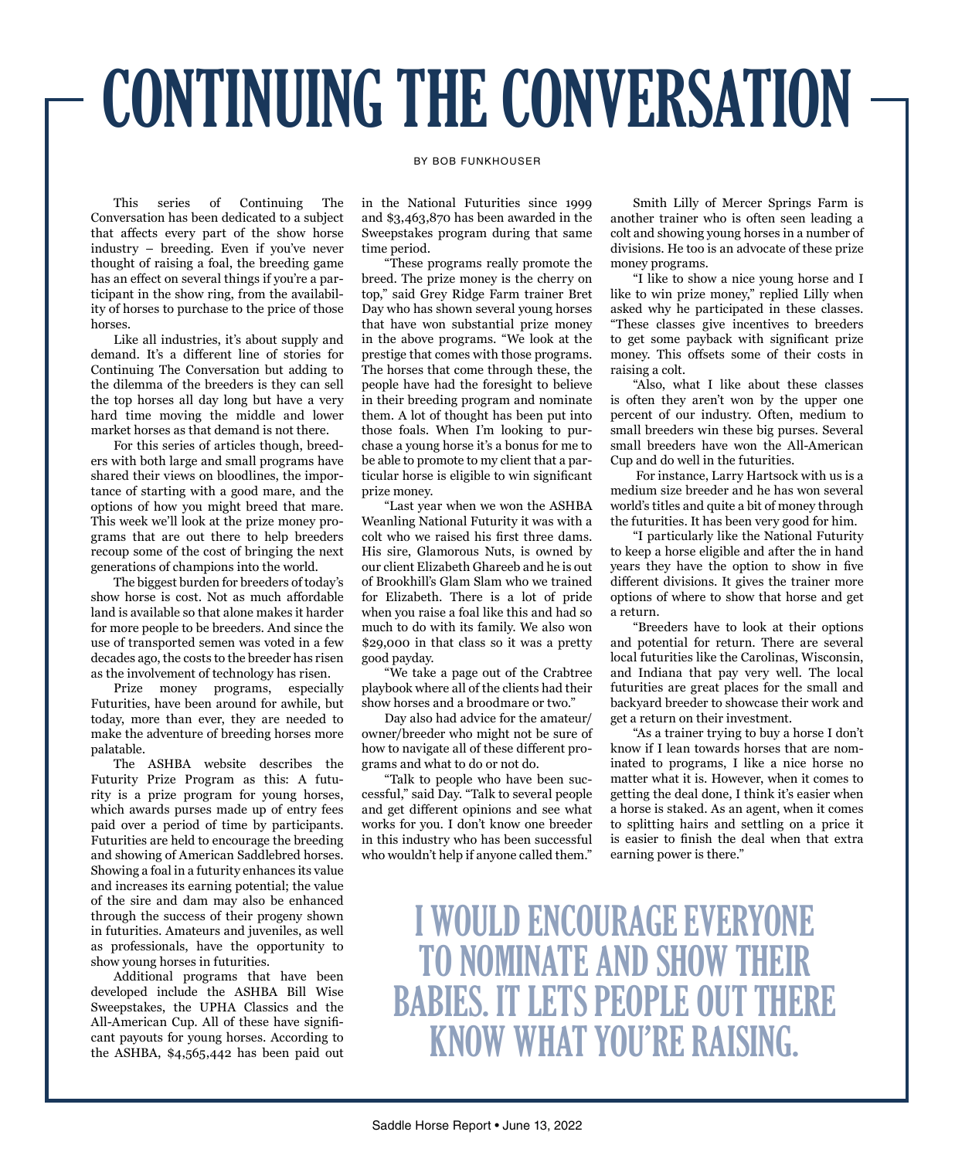## CONTINUING THE CONVERSATION

## BY BOB FUNKHOUSER

This series of Continuing The Conversation has been dedicated to a subject that affects every part of the show horse industry – breeding. Even if you've never thought of raising a foal, the breeding game has an effect on several things if you're a participant in the show ring, from the availability of horses to purchase to the price of those horses.

Like all industries, it's about supply and demand. It's a different line of stories for Continuing The Conversation but adding to the dilemma of the breeders is they can sell the top horses all day long but have a very hard time moving the middle and lower market horses as that demand is not there.

For this series of articles though, breeders with both large and small programs have shared their views on bloodlines, the importance of starting with a good mare, and the options of how you might breed that mare. This week we'll look at the prize money programs that are out there to help breeders recoup some of the cost of bringing the next generations of champions into the world.

The biggest burden for breeders of today's show horse is cost. Not as much affordable land is available so that alone makes it harder for more people to be breeders. And since the use of transported semen was voted in a few decades ago, the costs to the breeder has risen as the involvement of technology has risen.

Prize money programs, especially Futurities, have been around for awhile, but today, more than ever, they are needed to make the adventure of breeding horses more palatable.

The ASHBA website describes the Futurity Prize Program as this: A futurity is a prize program for young horses, which awards purses made up of entry fees paid over a period of time by participants. Futurities are held to encourage the breeding and showing of American Saddlebred horses. Showing a foal in a futurity enhances its value and increases its earning potential; the value of the sire and dam may also be enhanced through the success of their progeny shown in futurities. Amateurs and juveniles, as well as professionals, have the opportunity to show young horses in futurities.

Additional programs that have been developed include the ASHBA Bill Wise Sweepstakes, the UPHA Classics and the All-American Cup. All of these have significant payouts for young horses. According to the ASHBA, \$4,565,442 has been paid out

in the National Futurities since 1999 and \$3,463,870 has been awarded in the Sweepstakes program during that same time period.

"These programs really promote the breed. The prize money is the cherry on top," said Grey Ridge Farm trainer Bret Day who has shown several young horses that have won substantial prize money in the above programs. "We look at the prestige that comes with those programs. The horses that come through these, the people have had the foresight to believe in their breeding program and nominate them. A lot of thought has been put into those foals. When I'm looking to purchase a young horse it's a bonus for me to be able to promote to my client that a particular horse is eligible to win significant prize money.

"Last year when we won the ASHBA Weanling National Futurity it was with a colt who we raised his first three dams. His sire, Glamorous Nuts, is owned by our client Elizabeth Ghareeb and he is out of Brookhill's Glam Slam who we trained for Elizabeth. There is a lot of pride when you raise a foal like this and had so much to do with its family. We also won \$29,000 in that class so it was a pretty good payday.

"We take a page out of the Crabtree playbook where all of the clients had their show horses and a broodmare or two."

Day also had advice for the amateur/ owner/breeder who might not be sure of how to navigate all of these different programs and what to do or not do.

"Talk to people who have been successful," said Day. "Talk to several people and get different opinions and see what works for you. I don't know one breeder in this industry who has been successful who wouldn't help if anyone called them."

Smith Lilly of Mercer Springs Farm is another trainer who is often seen leading a colt and showing young horses in a number of divisions. He too is an advocate of these prize money programs.

"I like to show a nice young horse and I like to win prize money," replied Lilly when asked why he participated in these classes. "These classes give incentives to breeders to get some payback with significant prize money. This offsets some of their costs in raising a colt.

"Also, what I like about these classes is often they aren't won by the upper one percent of our industry. Often, medium to small breeders win these big purses. Several small breeders have won the All-American Cup and do well in the futurities.

 For instance, Larry Hartsock with us is a medium size breeder and he has won several world's titles and quite a bit of money through the futurities. It has been very good for him.

"I particularly like the National Futurity to keep a horse eligible and after the in hand years they have the option to show in five different divisions. It gives the trainer more options of where to show that horse and get a return.

"Breeders have to look at their options and potential for return. There are several local futurities like the Carolinas, Wisconsin, and Indiana that pay very well. The local futurities are great places for the small and backyard breeder to showcase their work and get a return on their investment.

"As a trainer trying to buy a horse I don't know if I lean towards horses that are nominated to programs, I like a nice horse no matter what it is. However, when it comes to getting the deal done, I think it's easier when a horse is staked. As an agent, when it comes to splitting hairs and settling on a price it is easier to finish the deal when that extra earning power is there."

I WOULD ENCOURAGE EVERYONE TO NOMINATE AND SHOW THEIR BABIES. IT LETS PEOPLE OUT THERE KNOW WHAT YOU'RE RAISING.